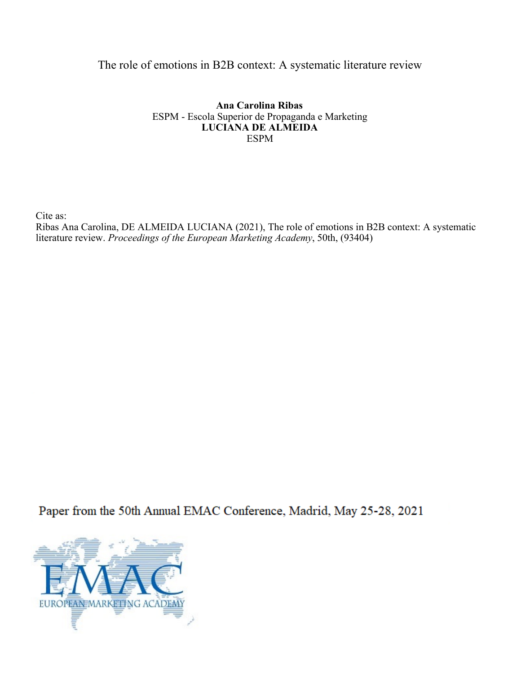## The role of emotions in B2B context: A systematic literature review

**Ana Carolina Ribas** ESPM - Escola Superior de Propaganda e Marketing **LUCIANA DE ALMEIDA** ESPM

Cite as:

Ribas Ana Carolina, DE ALMEIDA LUCIANA (2021), The role of emotions in B2B context: A systematic literature review. *Proceedings of the European Marketing Academy*, 50th, (93404)

Paper from the 50th Annual EMAC Conference, Madrid, May 25-28, 2021

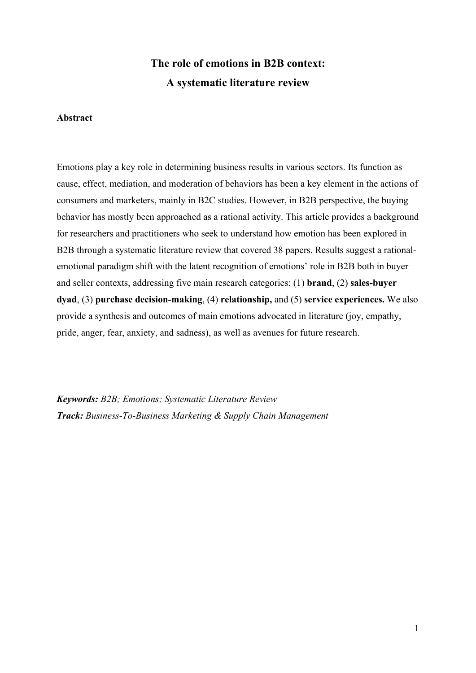# The role of emotions in B2B context: A systematic literature review

#### Abstract

Emotions play a key role in determining business results in various sectors. Its function as cause, effect, mediation, and moderation of behaviors has been a key element in the actions of consumers and marketers, mainly in B2C studies. However, in B2B perspective, the buying behavior has mostly been approached as a rational activity. This article provides a background for researchers and practitioners who seek to understand how emotion has been explored in B2B through a systematic literature review that covered 38 papers. Results suggest a rationalemotional paradigm shift with the latent recognition of emotions' role in B2B both in buyer and seller contexts, addressing five main research categories: (1) brand, (2) sales-buyer dyad, (3) purchase decision-making, (4) relationship, and (5) service experiences. We also provide a synthesis and outcomes of main emotions advocated in literature (joy, empathy, pride, anger, fear, anxiety, and sadness), as well as avenues for future research.

Keywords: B2B; Emotions; Systematic Literature Review Track: Business-To-Business Marketing & Supply Chain Management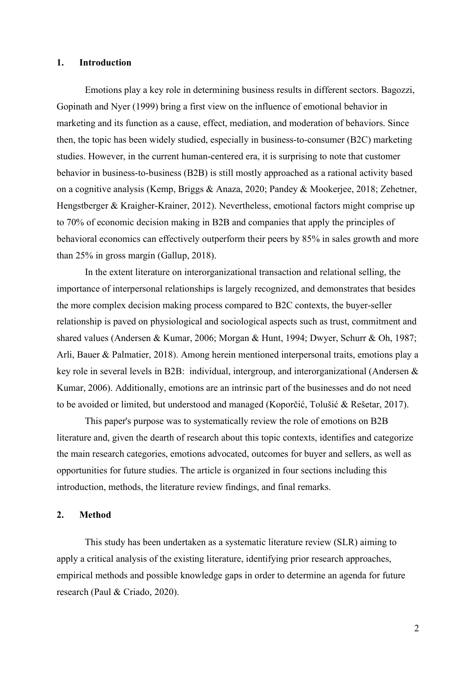## 1. Introduction

Emotions play a key role in determining business results in different sectors. Bagozzi, Gopinath and Nyer (1999) bring a first view on the influence of emotional behavior in marketing and its function as a cause, effect, mediation, and moderation of behaviors. Since then, the topic has been widely studied, especially in business-to-consumer (B2C) marketing studies. However, in the current human-centered era, it is surprising to note that customer behavior in business-to-business (B2B) is still mostly approached as a rational activity based on a cognitive analysis (Kemp, Briggs & Anaza, 2020; Pandey & Mookerjee, 2018; Zehetner, Hengstberger & Kraigher-Krainer, 2012). Nevertheless, emotional factors might comprise up to 70% of economic decision making in B2B and companies that apply the principles of behavioral economics can effectively outperform their peers by 85% in sales growth and more than 25% in gross margin (Gallup, 2018).

In the extent literature on interorganizational transaction and relational selling, the importance of interpersonal relationships is largely recognized, and demonstrates that besides the more complex decision making process compared to B2C contexts, the buyer-seller relationship is paved on physiological and sociological aspects such as trust, commitment and shared values (Andersen & Kumar, 2006; Morgan & Hunt, 1994; Dwyer, Schurr & Oh, 1987; Arli, Bauer & Palmatier, 2018). Among herein mentioned interpersonal traits, emotions play a key role in several levels in B2B: individual, intergroup, and interorganizational (Andersen & Kumar, 2006). Additionally, emotions are an intrinsic part of the businesses and do not need to be avoided or limited, but understood and managed (Koporčić, Tolušić & Rešetar, 2017).

This paper's purpose was to systematically review the role of emotions on B2B literature and, given the dearth of research about this topic contexts, identifies and categorize the main research categories, emotions advocated, outcomes for buyer and sellers, as well as opportunities for future studies. The article is organized in four sections including this introduction, methods, the literature review findings, and final remarks.

#### 2. Method

This study has been undertaken as a systematic literature review (SLR) aiming to apply a critical analysis of the existing literature, identifying prior research approaches, empirical methods and possible knowledge gaps in order to determine an agenda for future research (Paul & Criado, 2020).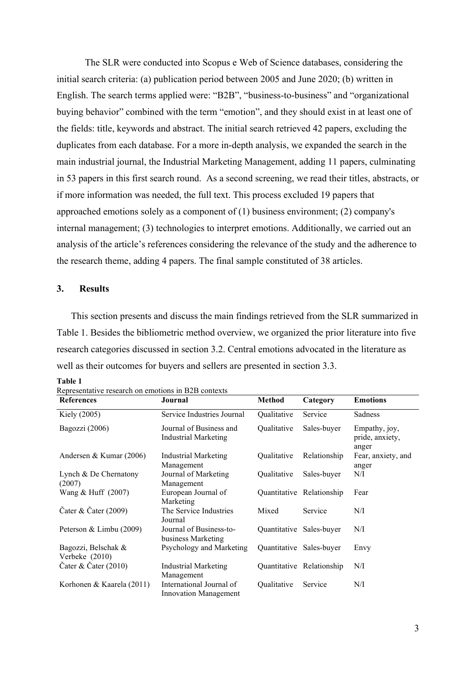The SLR were conducted into Scopus e Web of Science databases, considering the initial search criteria: (a) publication period between 2005 and June 2020; (b) written in English. The search terms applied were: "B2B", "business-to-business" and "organizational buying behavior" combined with the term "emotion", and they should exist in at least one of the fields: title, keywords and abstract. The initial search retrieved 42 papers, excluding the duplicates from each database. For a more in-depth analysis, we expanded the search in the main industrial journal, the Industrial Marketing Management, adding 11 papers, culminating in 53 papers in this first search round. As a second screening, we read their titles, abstracts, or if more information was needed, the full text. This process excluded 19 papers that approached emotions solely as a component of (1) business environment; (2) company's internal management; (3) technologies to interpret emotions. Additionally, we carried out an analysis of the article's references considering the relevance of the study and the adherence to the research theme, adding 4 papers. The final sample constituted of 38 articles.

#### 3. Results

This section presents and discuss the main findings retrieved from the SLR summarized in Table 1. Besides the bibliometric method overview, we organized the prior literature into five research categories discussed in section 3.2. Central emotions advocated in the literature as well as their outcomes for buyers and sellers are presented in section 3.3.

| ш       |  |
|---------|--|
| ۰,<br>٩ |  |

| Representative research on emotions in B2B contexts |                                                          |                          |                           |                                           |  |
|-----------------------------------------------------|----------------------------------------------------------|--------------------------|---------------------------|-------------------------------------------|--|
| <b>References</b>                                   | Journal                                                  | <b>Method</b>            | Category                  | <b>Emotions</b>                           |  |
| Kiely (2005)                                        | Service Industries Journal                               | Qualitative              | Service                   | Sadness                                   |  |
| Bagozzi (2006)                                      | Journal of Business and<br><b>Industrial Marketing</b>   | Qualitative              | Sales-buyer               | Empathy, joy,<br>pride, anxiety,<br>anger |  |
| Andersen & Kumar (2006)                             | Industrial Marketing<br>Management                       | Qualitative              | Relationship              | Fear, anxiety, and<br>anger               |  |
| Lynch & De Chernatony<br>(2007)                     | Journal of Marketing<br>Management                       | Qualitative              | Sales-buyer               | N/I                                       |  |
| Wang & Huff (2007)                                  | European Journal of<br>Marketing                         |                          | Quantitative Relationship | Fear                                      |  |
| Čater & Čater $(2009)$                              | The Service Industries<br>Journal                        | Mixed                    | Service                   | N/I                                       |  |
| Peterson & Limbu (2009)                             | Journal of Business-to-<br>business Marketing            | Quantitative Sales-buyer |                           | N/I                                       |  |
| Bagozzi, Belschak &<br>Verbeke (2010)               | Psychology and Marketing                                 |                          | Quantitative Sales-buyer  | Envy                                      |  |
| Cater & Cater $(2010)$                              | Industrial Marketing<br>Management                       |                          | Quantitative Relationship | N/I                                       |  |
| Korhonen & Kaarela (2011)                           | International Journal of<br><b>Innovation Management</b> | Qualitative              | Service                   | N/I                                       |  |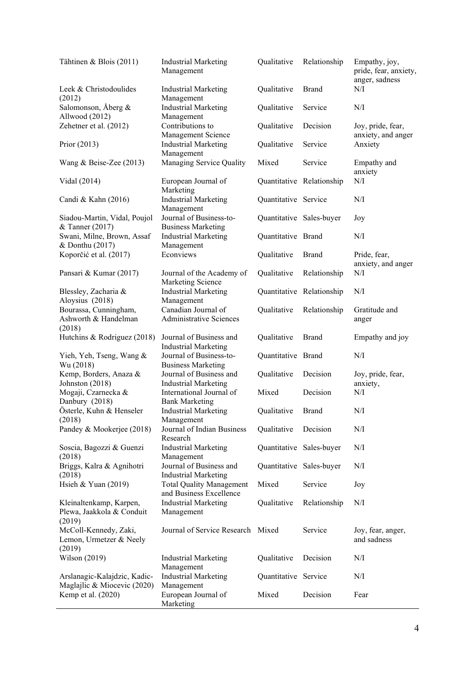| Tähtinen & Blois (2011)                                        | <b>Industrial Marketing</b><br>Management                  | Qualitative              | Relationship              | Empathy, joy,<br>pride, fear, anxiety,<br>anger, sadness |
|----------------------------------------------------------------|------------------------------------------------------------|--------------------------|---------------------------|----------------------------------------------------------|
| Leek & Christodoulides<br>(2012)                               | <b>Industrial Marketing</b><br>Management                  | Qualitative              | <b>Brand</b>              | N/I                                                      |
| Salomonson, Åberg &<br>Allwood (2012)                          | <b>Industrial Marketing</b><br>Management                  | Qualitative              | Service                   | N/I                                                      |
| Zehetner et al. (2012)                                         | Contributions to<br>Management Science                     | Qualitative              | Decision                  | Joy, pride, fear,<br>anxiety, and anger                  |
| Prior (2013)                                                   | <b>Industrial Marketing</b><br>Management                  | Qualitative              | Service                   | Anxiety                                                  |
| Wang & Beise-Zee $(2013)$                                      | Managing Service Quality                                   | Mixed                    | Service                   | Empathy and<br>anxiety                                   |
| Vidal (2014)                                                   | European Journal of<br>Marketing                           |                          | Quantitative Relationship | $\rm N/I$                                                |
| Candi & Kahn (2016)                                            | <b>Industrial Marketing</b><br>Management                  | Quantitative Service     |                           | N/I                                                      |
| Siadou-Martin, Vidal, Poujol<br>& Tanner (2017)                | Journal of Business-to-<br><b>Business Marketing</b>       | Quantitative Sales-buyer |                           | Joy                                                      |
| Swani, Milne, Brown, Assaf<br>& Donthu (2017)                  | <b>Industrial Marketing</b><br>Management                  | Quantitative Brand       |                           | N/I                                                      |
| Koporčić et al. (2017)                                         | Econviews                                                  | Qualitative              | <b>Brand</b>              | Pride, fear,<br>anxiety, and anger                       |
| Pansari & Kumar (2017)                                         | Journal of the Academy of<br>Marketing Science             | Qualitative              | Relationship              | $\rm N/I$                                                |
| Blessley, Zacharia &<br>Aloysius (2018)                        | <b>Industrial Marketing</b><br>Management                  |                          | Quantitative Relationship | N/I                                                      |
| Bourassa, Cunningham,<br>Ashworth & Handelman<br>(2018)        | Canadian Journal of<br><b>Administrative Sciences</b>      | Qualitative              | Relationship              | Gratitude and<br>anger                                   |
| Hutchins & Rodriguez (2018)                                    | Journal of Business and<br><b>Industrial Marketing</b>     | Qualitative              | <b>Brand</b>              | Empathy and joy                                          |
| Yieh, Yeh, Tseng, Wang &<br>Wu (2018)                          | Journal of Business-to-<br><b>Business Marketing</b>       | Quantitative Brand       |                           | N/I                                                      |
| Kemp, Borders, Anaza &<br>Johnston (2018)                      | Journal of Business and<br><b>Industrial Marketing</b>     | Qualitative              | Decision                  | Joy, pride, fear,<br>anxiety,                            |
| Mogaji, Czarnecka &<br>Danbury (2018)                          | International Journal of<br><b>Bank Marketing</b>          | Mixed                    | Decision                  | N/I                                                      |
| Österle, Kuhn & Henseler<br>(2018)                             | <b>Industrial Marketing</b><br>Management                  | Qualitative              | <b>Brand</b>              | N/I                                                      |
| Pandey & Mookerjee (2018)                                      | Journal of Indian Business<br>Research                     | Qualitative              | Decision                  | $\rm N/I$                                                |
| Soscia, Bagozzi & Guenzi<br>(2018)                             | <b>Industrial Marketing</b><br>Management                  |                          | Quantitative Sales-buyer  | N/I                                                      |
| Briggs, Kalra & Agnihotri<br>(2018)                            | Journal of Business and<br><b>Industrial Marketing</b>     |                          | Quantitative Sales-buyer  | N/I                                                      |
| Hsieh & Yuan $(2019)$                                          | <b>Total Quality Management</b><br>and Business Excellence | Mixed                    | Service                   | Joy                                                      |
| Kleinaltenkamp, Karpen,<br>Plewa, Jaakkola & Conduit<br>(2019) | <b>Industrial Marketing</b><br>Management                  | Qualitative              | Relationship              | N/I                                                      |
| McColl-Kennedy, Zaki,<br>Lemon, Urmetzer & Neely<br>(2019)     | Journal of Service Research Mixed                          |                          | Service                   | Joy, fear, anger,<br>and sadness                         |
| Wilson (2019)                                                  | <b>Industrial Marketing</b><br>Management                  | Qualitative              | Decision                  | N/I                                                      |
| Arslanagic-Kalajdzic, Kadic-<br>Maglajlic & Miocevic (2020)    | <b>Industrial Marketing</b><br>Management                  | Quantitative Service     |                           | N/I                                                      |
| Kemp et al. (2020)                                             | European Journal of<br>Marketing                           | Mixed                    | Decision                  | Fear                                                     |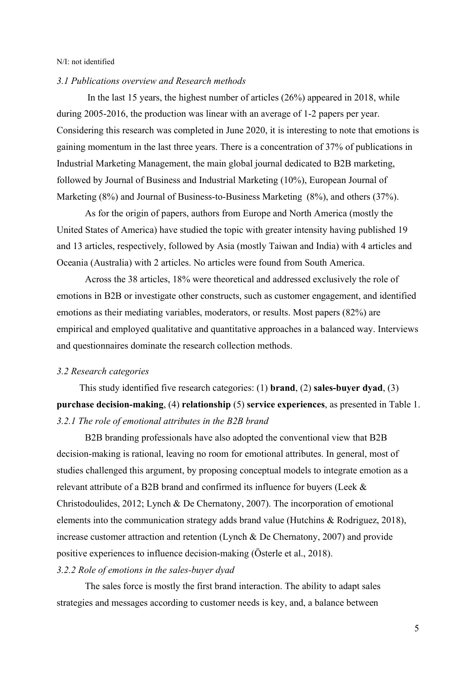#### N/I: not identified

#### 3.1 Publications overview and Research methods

 In the last 15 years, the highest number of articles (26%) appeared in 2018, while during 2005-2016, the production was linear with an average of 1-2 papers per year. Considering this research was completed in June 2020, it is interesting to note that emotions is gaining momentum in the last three years. There is a concentration of 37% of publications in Industrial Marketing Management, the main global journal dedicated to B2B marketing, followed by Journal of Business and Industrial Marketing (10%), European Journal of Marketing (8%) and Journal of Business-to-Business Marketing (8%), and others (37%).

As for the origin of papers, authors from Europe and North America (mostly the United States of America) have studied the topic with greater intensity having published 19 and 13 articles, respectively, followed by Asia (mostly Taiwan and India) with 4 articles and Oceania (Australia) with 2 articles. No articles were found from South America.

Across the 38 articles, 18% were theoretical and addressed exclusively the role of emotions in B2B or investigate other constructs, such as customer engagement, and identified emotions as their mediating variables, moderators, or results. Most papers (82%) are empirical and employed qualitative and quantitative approaches in a balanced way. Interviews and questionnaires dominate the research collection methods.

#### 3.2 Research categories

This study identified five research categories: (1) brand, (2) sales-buyer dyad, (3) purchase decision-making, (4) relationship (5) service experiences, as presented in Table 1. 3.2.1 The role of emotional attributes in the B2B brand

B2B branding professionals have also adopted the conventional view that B2B decision-making is rational, leaving no room for emotional attributes. In general, most of studies challenged this argument, by proposing conceptual models to integrate emotion as a relevant attribute of a B2B brand and confirmed its influence for buyers (Leek & Christodoulides, 2012; Lynch & De Chernatony, 2007). The incorporation of emotional elements into the communication strategy adds brand value (Hutchins & Rodriguez, 2018), increase customer attraction and retention (Lynch & De Chernatony, 2007) and provide positive experiences to influence decision-making (Österle et al., 2018).

## 3.2.2 Role of emotions in the sales-buyer dyad

The sales force is mostly the first brand interaction. The ability to adapt sales strategies and messages according to customer needs is key, and, a balance between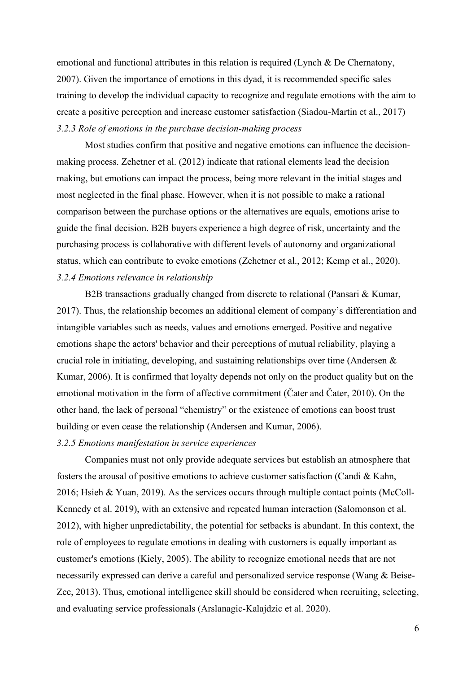emotional and functional attributes in this relation is required (Lynch & De Chernatony, 2007). Given the importance of emotions in this dyad, it is recommended specific sales training to develop the individual capacity to recognize and regulate emotions with the aim to create a positive perception and increase customer satisfaction (Siadou-Martin et al., 2017) 3.2.3 Role of emotions in the purchase decision-making process

Most studies confirm that positive and negative emotions can influence the decisionmaking process. Zehetner et al. (2012) indicate that rational elements lead the decision making, but emotions can impact the process, being more relevant in the initial stages and most neglected in the final phase. However, when it is not possible to make a rational comparison between the purchase options or the alternatives are equals, emotions arise to guide the final decision. B2B buyers experience a high degree of risk, uncertainty and the purchasing process is collaborative with different levels of autonomy and organizational status, which can contribute to evoke emotions (Zehetner et al., 2012; Kemp et al., 2020). 3.2.4 Emotions relevance in relationship

B2B transactions gradually changed from discrete to relational (Pansari & Kumar, 2017). Thus, the relationship becomes an additional element of company's differentiation and intangible variables such as needs, values and emotions emerged. Positive and negative emotions shape the actors' behavior and their perceptions of mutual reliability, playing a crucial role in initiating, developing, and sustaining relationships over time (Andersen & Kumar, 2006). It is confirmed that loyalty depends not only on the product quality but on the emotional motivation in the form of affective commitment (Čater and Čater, 2010). On the other hand, the lack of personal "chemistry" or the existence of emotions can boost trust building or even cease the relationship (Andersen and Kumar, 2006).

#### 3.2.5 Emotions manifestation in service experiences

Companies must not only provide adequate services but establish an atmosphere that fosters the arousal of positive emotions to achieve customer satisfaction (Candi & Kahn, 2016; Hsieh & Yuan, 2019). As the services occurs through multiple contact points (McColl-Kennedy et al. 2019), with an extensive and repeated human interaction (Salomonson et al. 2012), with higher unpredictability, the potential for setbacks is abundant. In this context, the role of employees to regulate emotions in dealing with customers is equally important as customer's emotions (Kiely, 2005). The ability to recognize emotional needs that are not necessarily expressed can derive a careful and personalized service response (Wang & Beise-Zee, 2013). Thus, emotional intelligence skill should be considered when recruiting, selecting, and evaluating service professionals (Arslanagic-Kalajdzic et al. 2020).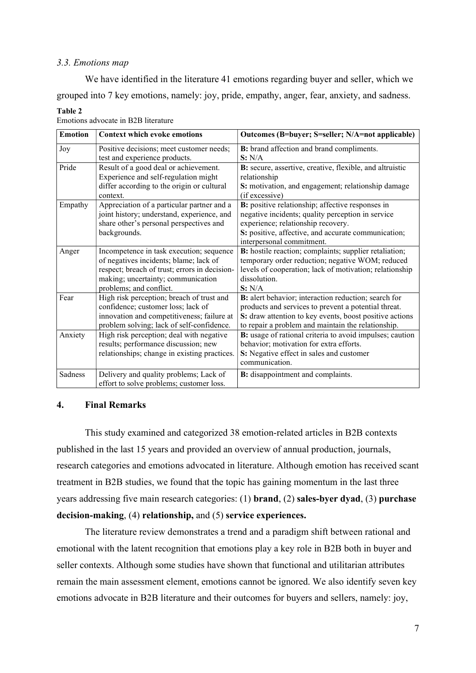#### 3.3. Emotions map

Table 2

We have identified in the literature 41 emotions regarding buyer and seller, which we grouped into 7 key emotions, namely: joy, pride, empathy, anger, fear, anxiety, and sadness.

| <b>Emotion</b> | <b>Context which evoke emotions</b>           | Outcomes (B=buyer; S=seller; N/A=not applicable)         |
|----------------|-----------------------------------------------|----------------------------------------------------------|
| Joy            | Positive decisions; meet customer needs;      | B: brand affection and brand compliments.                |
|                | test and experience products.                 | S: N/A                                                   |
| Pride          | Result of a good deal or achievement.         | B: secure, assertive, creative, flexible, and altruistic |
|                | Experience and self-regulation might          | relationship                                             |
|                | differ according to the origin or cultural    | S: motivation, and engagement; relationship damage       |
|                | context.                                      | (if excessive)                                           |
| Empathy        | Appreciation of a particular partner and a    | B: positive relationship; affective responses in         |
|                | joint history; understand, experience, and    | negative incidents; quality perception in service        |
|                | share other's personal perspectives and       | experience; relationship recovery.                       |
|                | backgrounds.                                  | S: positive, affective, and accurate communication;      |
|                |                                               | interpersonal commitment.                                |
| Anger          | Incompetence in task execution; sequence      | B: hostile reaction; complaints; supplier retaliation;   |
|                | of negatives incidents; blame; lack of        | temporary order reduction; negative WOM; reduced         |
|                | respect; breach of trust; errors in decision- | levels of cooperation; lack of motivation; relationship  |
|                | making; uncertainty; communication            | dissolution.                                             |
|                | problems; and conflict.                       | S: N/A                                                   |
| Fear           | High risk perception; breach of trust and     | B: alert behavior; interaction reduction; search for     |
|                | confidence; customer loss; lack of            | products and services to prevent a potential threat.     |
|                | innovation and competitiveness; failure at    | S: draw attention to key events, boost positive actions  |
|                | problem solving; lack of self-confidence.     | to repair a problem and maintain the relationship.       |
| Anxiety        | High risk perception; deal with negative      | B: usage of rational criteria to avoid impulses; caution |
|                | results; performance discussion; new          | behavior; motivation for extra efforts.                  |
|                | relationships; change in existing practices.  | S: Negative effect in sales and customer                 |
|                |                                               | communication.                                           |
| <b>Sadness</b> | Delivery and quality problems; Lack of        | <b>B:</b> disappointment and complaints.                 |
|                | effort to solve problems; customer loss.      |                                                          |

Emotions advocate in B2B literature

## 4. Final Remarks

This study examined and categorized 38 emotion-related articles in B2B contexts published in the last 15 years and provided an overview of annual production, journals, research categories and emotions advocated in literature. Although emotion has received scant treatment in B2B studies, we found that the topic has gaining momentum in the last three years addressing five main research categories: (1) brand, (2) sales-byer dyad, (3) purchase decision-making, (4) relationship, and (5) service experiences.

The literature review demonstrates a trend and a paradigm shift between rational and emotional with the latent recognition that emotions play a key role in B2B both in buyer and seller contexts. Although some studies have shown that functional and utilitarian attributes remain the main assessment element, emotions cannot be ignored. We also identify seven key emotions advocate in B2B literature and their outcomes for buyers and sellers, namely: joy,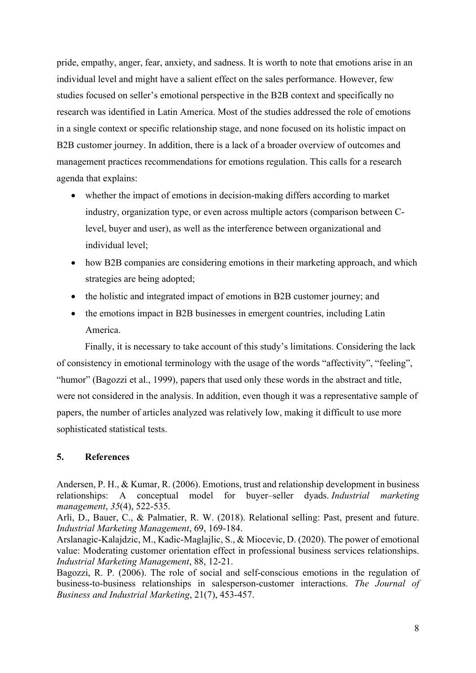pride, empathy, anger, fear, anxiety, and sadness. It is worth to note that emotions arise in an individual level and might have a salient effect on the sales performance. However, few studies focused on seller's emotional perspective in the B2B context and specifically no research was identified in Latin America. Most of the studies addressed the role of emotions in a single context or specific relationship stage, and none focused on its holistic impact on B2B customer journey. In addition, there is a lack of a broader overview of outcomes and management practices recommendations for emotions regulation. This calls for a research agenda that explains:

- whether the impact of emotions in decision-making differs according to market industry, organization type, or even across multiple actors (comparison between Clevel, buyer and user), as well as the interference between organizational and individual level;
- how B2B companies are considering emotions in their marketing approach, and which strategies are being adopted;
- the holistic and integrated impact of emotions in B2B customer journey; and
- the emotions impact in B2B businesses in emergent countries, including Latin America.

Finally, it is necessary to take account of this study's limitations. Considering the lack of consistency in emotional terminology with the usage of the words "affectivity", "feeling", "humor" (Bagozzi et al., 1999), papers that used only these words in the abstract and title, were not considered in the analysis. In addition, even though it was a representative sample of papers, the number of articles analyzed was relatively low, making it difficult to use more sophisticated statistical tests.

## 5. References

Andersen, P. H., & Kumar, R. (2006). Emotions, trust and relationship development in business relationships: A conceptual model for buyer–seller dyads. Industrial marketing management, 35(4), 522-535.

Arli, D., Bauer, C., & Palmatier, R. W. (2018). Relational selling: Past, present and future. Industrial Marketing Management, 69, 169-184.

Arslanagic-Kalajdzic, M., Kadic-Maglajlic, S., & Miocevic, D. (2020). The power of emotional value: Moderating customer orientation effect in professional business services relationships. Industrial Marketing Management, 88, 12-21.

Bagozzi, R. P. (2006). The role of social and self-conscious emotions in the regulation of business-to-business relationships in salesperson-customer interactions. The Journal of Business and Industrial Marketing, 21(7), 453-457.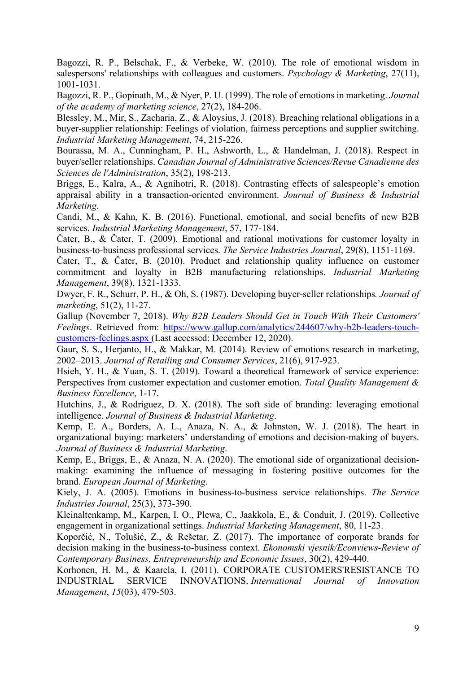Bagozzi, R. P., Belschak, F., & Verbeke, W. (2010). The role of emotional wisdom in salespersons' relationships with colleagues and customers. Psychology & Marketing, 27(11), 1001-1031.

Bagozzi, R. P., Gopinath, M., & Nyer, P. U. (1999). The role of emotions in marketing. Journal of the academy of marketing science, 27(2), 184-206.

Blessley, M., Mir, S., Zacharia, Z., & Aloysius, J. (2018). Breaching relational obligations in a buyer-supplier relationship: Feelings of violation, fairness perceptions and supplier switching. Industrial Marketing Management, 74, 215-226.

Bourassa, M. A., Cunningham, P. H., Ashworth, L., & Handelman, J. (2018). Respect in buyer/seller relationships. Canadian Journal of Administrative Sciences/Revue Canadienne des Sciences de l'Administration, 35(2), 198-213.

Briggs, E., Kalra, A., & Agnihotri, R. (2018). Contrasting effects of salespeople's emotion appraisal ability in a transaction-oriented environment. Journal of Business & Industrial Marketing.

Candi, M., & Kahn, K. B. (2016). Functional, emotional, and social benefits of new B2B services. Industrial Marketing Management, 57, 177-184.

Čater, B., & Čater, T. (2009). Emotional and rational motivations for customer loyalty in business-to-business professional services. The Service Industries Journal, 29(8), 1151-1169.

Čater, T., & Čater, B. (2010). Product and relationship quality influence on customer commitment and loyalty in B2B manufacturing relationships. Industrial Marketing Management, 39(8), 1321-1333.

Dwyer, F. R., Schurr, P. H., & Oh, S. (1987). Developing buyer-seller relationships. Journal of marketing, 51(2), 11-27.

Gallup (November 7, 2018). Why B2B Leaders Should Get in Touch With Their Customers' Feelings. Retrieved from: https://www.gallup.com/analytics/244607/why-b2b-leaders-touchcustomers-feelings.aspx (Last accessed: December 12, 2020).

Gaur, S. S., Herjanto, H., & Makkar, M. (2014). Review of emotions research in marketing, 2002–2013. Journal of Retailing and Consumer Services, 21(6), 917-923.

Hsieh, Y. H., & Yuan, S. T. (2019). Toward a theoretical framework of service experience: Perspectives from customer expectation and customer emotion. Total Quality Management & Business Excellence, 1-17.

Hutchins, J., & Rodriguez, D. X. (2018). The soft side of branding: leveraging emotional intelligence. Journal of Business & Industrial Marketing.

Kemp, E. A., Borders, A. L., Anaza, N. A., & Johnston, W. J. (2018). The heart in organizational buying: marketers' understanding of emotions and decision-making of buyers. Journal of Business & Industrial Marketing.

Kemp, E., Briggs, E., & Anaza, N. A. (2020). The emotional side of organizational decisionmaking: examining the influence of messaging in fostering positive outcomes for the brand. European Journal of Marketing.

Kiely, J. A. (2005). Emotions in business-to-business service relationships. The Service Industries Journal, 25(3), 373-390.

Kleinaltenkamp, M., Karpen, I. O., Plewa, C., Jaakkola, E., & Conduit, J. (2019). Collective engagement in organizational settings. Industrial Marketing Management, 80, 11-23.

Koporčić, N., Tolušić, Z., & Rešetar, Z. (2017). The importance of corporate brands for decision making in the business-to-business context. *Ekonomski vjesnik/Econviews-Review of* Contemporary Business, Entrepreneurship and Economic Issues, 30(2), 429-440.

Korhonen, H. M., & Kaarela, I. (2011). CORPORATE CUSTOMERS'RESISTANCE TO INDUSTRIAL SERVICE INNOVATIONS. International Journal of Innovation Management, 15(03), 479-503.